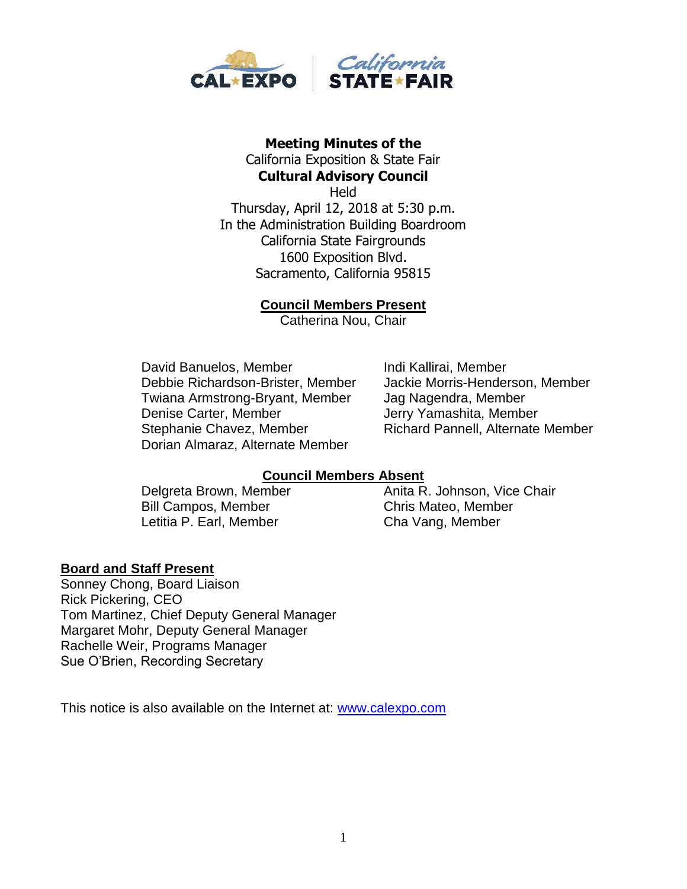

#### **Meeting Minutes of the**  California Exposition & State Fair **Cultural Advisory Council**

**Held** Thursday, April 12, 2018 at 5:30 p.m. In the Administration Building Boardroom California State Fairgrounds 1600 Exposition Blvd. Sacramento, California 95815

### **Council Members Present**

Catherina Nou, Chair

David Banuelos, Member **Indi Kallirai, Member** Debbie Richardson-Brister, Member Jackie Morris-Henderson, Member Twiana Armstrong-Bryant, Member Jag Nagendra, Member Denise Carter, Member Jerry Yamashita, Member Stephanie Chavez, Member Richard Pannell, Alternate Member Dorian Almaraz, Alternate Member

## **Council Members Absent**

Delgreta Brown, Member **Anita R. Johnson, Vice Chair** Bill Campos, Member Chris Mateo, Member Letitia P. Earl, Member Cha Vang, Member

#### **Board and Staff Present**

Sonney Chong, Board Liaison Rick Pickering, CEO Tom Martinez, Chief Deputy General Manager Margaret Mohr, Deputy General Manager Rachelle Weir, Programs Manager Sue O'Brien, Recording Secretary

This notice is also available on the Internet at: [www.calexpo.com](http://www.calexpo.com/)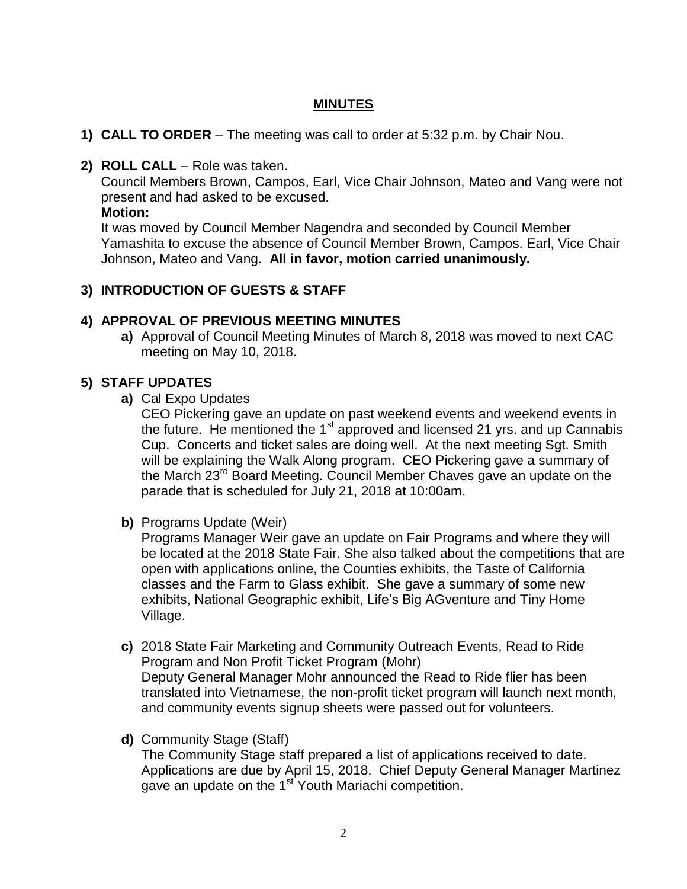## **MINUTES**

- **1) CALL TO ORDER** The meeting was call to order at 5:32 p.m. by Chair Nou.
- **2) ROLL CALL**  Role was taken.

Council Members Brown, Campos, Earl, Vice Chair Johnson, Mateo and Vang were not present and had asked to be excused.

**Motion:**

It was moved by Council Member Nagendra and seconded by Council Member Yamashita to excuse the absence of Council Member Brown, Campos. Earl, Vice Chair Johnson, Mateo and Vang. **All in favor, motion carried unanimously.**

# **3) INTRODUCTION OF GUESTS & STAFF**

### **4) APPROVAL OF PREVIOUS MEETING MINUTES**

**a)** Approval of Council Meeting Minutes of March 8, 2018 was moved to next CAC meeting on May 10, 2018.

### **5) STAFF UPDATES**

**a)** Cal Expo Updates

CEO Pickering gave an update on past weekend events and weekend events in the future. He mentioned the 1 $<sup>st</sup>$  approved and licensed 21 yrs. and up Cannabis</sup> Cup. Concerts and ticket sales are doing well. At the next meeting Sgt. Smith will be explaining the Walk Along program. CEO Pickering gave a summary of the March 23<sup>rd</sup> Board Meeting. Council Member Chaves gave an update on the parade that is scheduled for July 21, 2018 at 10:00am.

**b)** Programs Update (Weir)

Programs Manager Weir gave an update on Fair Programs and where they will be located at the 2018 State Fair. She also talked about the competitions that are open with applications online, the Counties exhibits, the Taste of California classes and the Farm to Glass exhibit. She gave a summary of some new exhibits, National Geographic exhibit, Life's Big AGventure and Tiny Home Village.

- **c)** 2018 State Fair Marketing and Community Outreach Events, Read to Ride Program and Non Profit Ticket Program (Mohr) Deputy General Manager Mohr announced the Read to Ride flier has been translated into Vietnamese, the non-profit ticket program will launch next month, and community events signup sheets were passed out for volunteers.
- **d)** Community Stage (Staff)

The Community Stage staff prepared a list of applications received to date. Applications are due by April 15, 2018. Chief Deputy General Manager Martinez gave an update on the 1<sup>st</sup> Youth Mariachi competition.